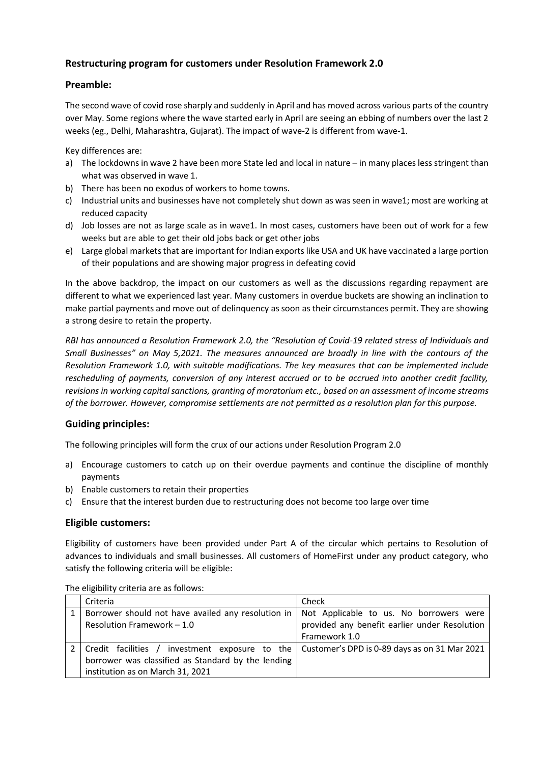## **Restructuring program for customers under Resolution Framework 2.0**

### **Preamble:**

The second wave of covid rose sharply and suddenly in April and has moved across various parts of the country over May. Some regions where the wave started early in April are seeing an ebbing of numbers over the last 2 weeks (eg., Delhi, Maharashtra, Gujarat). The impact of wave-2 is different from wave-1.

Key differences are:

- a) The lockdowns in wave 2 have been more State led and local in nature in many places less stringent than what was observed in wave 1.
- b) There has been no exodus of workers to home towns.
- c) Industrial units and businesses have not completely shut down as was seen in wave1; most are working at reduced capacity
- d) Job losses are not as large scale as in wave1. In most cases, customers have been out of work for a few weeks but are able to get their old jobs back or get other jobs
- e) Large global markets that are important for Indian exports like USA and UK have vaccinated a large portion of their populations and are showing major progress in defeating covid

In the above backdrop, the impact on our customers as well as the discussions regarding repayment are different to what we experienced last year. Many customers in overdue buckets are showing an inclination to make partial payments and move out of delinquency as soon as their circumstances permit. They are showing a strong desire to retain the property.

*RBI has announced a Resolution Framework 2.0, the "Resolution of Covid-19 related stress of Individuals and Small Businesses" on May 5,2021. The measures announced are broadly in line with the contours of the Resolution Framework 1.0, with suitable modifications. The key measures that can be implemented include rescheduling of payments, conversion of any interest accrued or to be accrued into another credit facility, revisions in working capital sanctions, granting of moratorium etc., based on an assessment of income streams of the borrower. However, compromise settlements are not permitted as a resolution plan for this purpose.* 

## **Guiding principles:**

The following principles will form the crux of our actions under Resolution Program 2.0

- a) Encourage customers to catch up on their overdue payments and continue the discipline of monthly payments
- b) Enable customers to retain their properties
- c) Ensure that the interest burden due to restructuring does not become too large over time

#### **Eligible customers:**

Eligibility of customers have been provided under Part A of the circular which pertains to Resolution of advances to individuals and small businesses. All customers of HomeFirst under any product category, who satisfy the following criteria will be eligible:

| Criteria                                                                                     | Check                                                                            |
|----------------------------------------------------------------------------------------------|----------------------------------------------------------------------------------|
| Borrower should not have availed any resolution in   Not Applicable to us. No borrowers were |                                                                                  |
| Resolution Framework - 1.0                                                                   | provided any benefit earlier under Resolution                                    |
|                                                                                              | Framework 1.0                                                                    |
| Credit facilities /                                                                          | investment exposure to the $\vert$ Customer's DPD is 0-89 days as on 31 Mar 2021 |
| borrower was classified as Standard by the lending                                           |                                                                                  |
| institution as on March 31, 2021                                                             |                                                                                  |

The eligibility criteria are as follows: